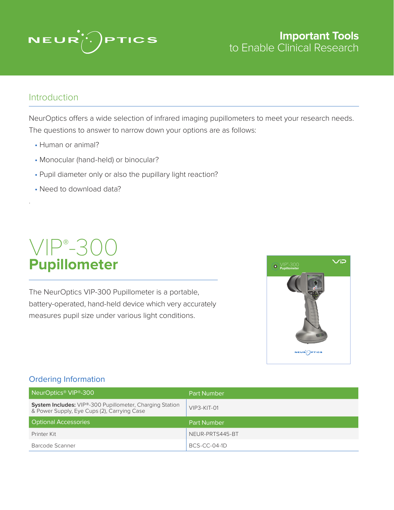

### **Important Tools**  to Enable Clinical Research

### Introduction

.

NeurOptics offers a wide selection of infrared imaging pupillometers to meet your research needs. The questions to answer to narrow down your options are as follows:

- Human or animal?
- Monocular (hand-held) or binocular?
- Pupil diameter only or also the pupillary light reaction?
- Need to download data?

## VIP® -300 **Pupillometer**

The NeurOptics VIP-300 Pupillometer is a portable, battery-operated, hand-held device which very accurately measures pupil size under various light conditions.



#### Ordering Information

| NeurOptics <sup>®</sup> VIP <sup>®</sup> -300                                                                  | <b>Part Number</b> |
|----------------------------------------------------------------------------------------------------------------|--------------------|
| <b>System Includes:</b> VIP®-300 Pupillometer, Charging Station<br>& Power Supply, Eye Cups (2), Carrying Case | $VIP3-KIT-01$      |
| <b>Optional Accessories</b>                                                                                    | <b>Part Number</b> |
|                                                                                                                |                    |
| Printer Kit                                                                                                    | NEUR-PRTS445-BT    |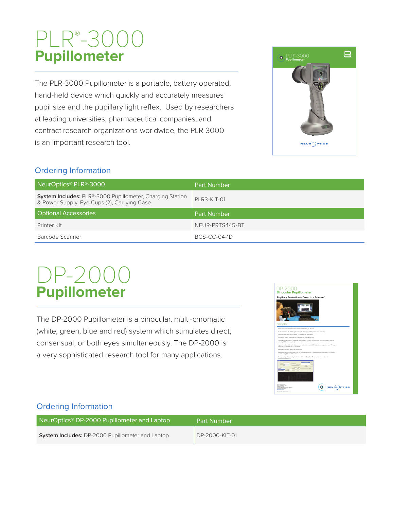# PLR® -3000 **Pupillometer**

The PLR-3000 Pupillometer is a portable, battery operated, hand-held device which quickly and accurately measures pupil size and the pupillary light reflex. Used by researchers at leading universities, pharmaceutical companies, and contract research organizations worldwide, the PLR-3000 is an important research tool.



#### Ordering Information

| NeurOptics <sup>®</sup> PLR <sup>®</sup> -3000                                                                  | <b>Part Number</b> |
|-----------------------------------------------------------------------------------------------------------------|--------------------|
| <b>System Includes: PLR®-3000 Pupillometer, Charging Station</b><br>& Power Supply, Eye Cups (2), Carrying Case | PLR3-KIT-01        |
| <b>Optional Accessories</b>                                                                                     | <b>Part Number</b> |
| Printer Kit                                                                                                     | NEUR-PRTS445-BT    |
| Barcode Scanner                                                                                                 | $BCS-CC-04-1D$     |

# DP-2000 **Pupillometer**

The DP-2000 Pupillometer is a binocular, multi-chromatic (white, green, blue and red) system which stimulates direct, consensual, or both eyes simultaneously. The DP-2000 is a very sophisticated research tool for many applications.



#### Ordering Information

| NeurOptics® DP-2000 Pupillometer and Laptop             | <b>Part Number</b> |
|---------------------------------------------------------|--------------------|
| <b>System Includes:</b> DP-2000 Pupillometer and Laptop | DP-2000-KIT-01     |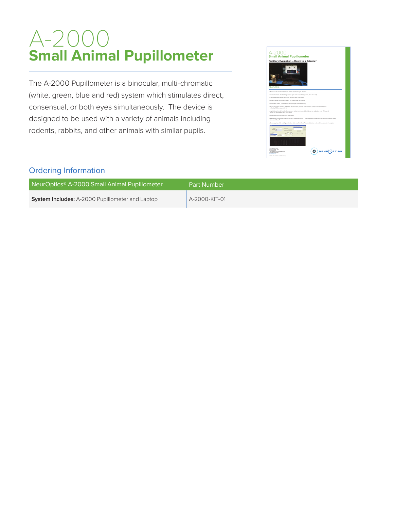# A-2000 **Small Animal Pupillometer**

The A-2000 Pupillometer is a binocular, multi-chromatic (white, green, blue and red) system which stimulates direct, consensual, or both eyes simultaneously. The device is designed to be used with a variety of animals including rodents, rabbits, and other animals with similar pupils.



#### Ordering Information

| NeurOptics <sup>®</sup> A-2000 Small Animal Pupillometer | Part Number   |
|----------------------------------------------------------|---------------|
| <b>System Includes:</b> A-2000 Pupillometer and Laptop   | A-2000-KIT-01 |